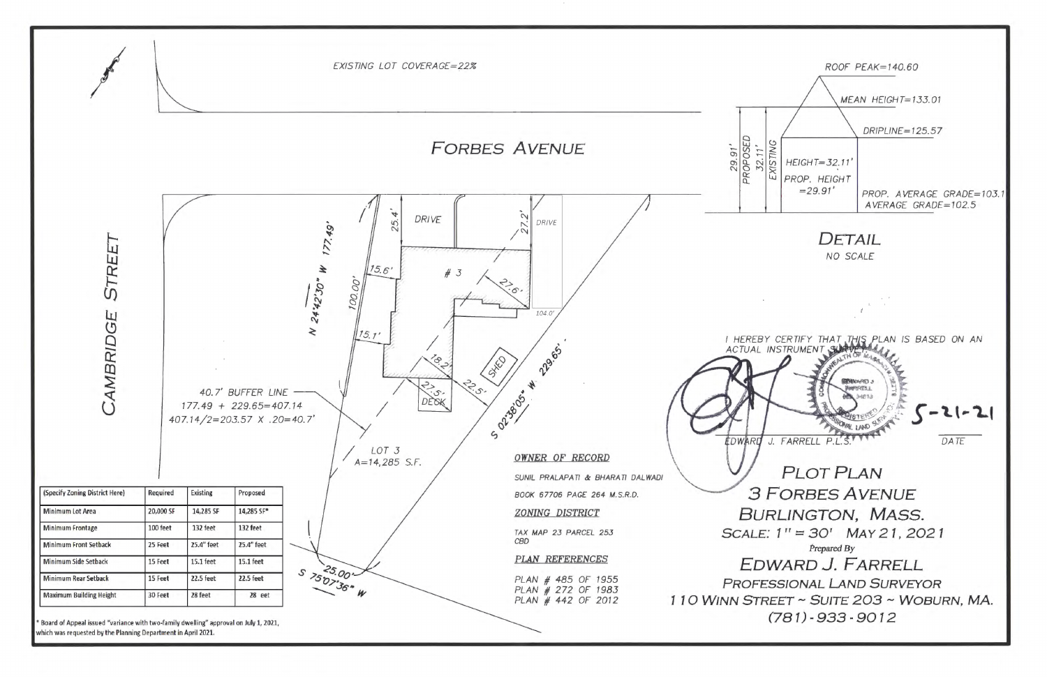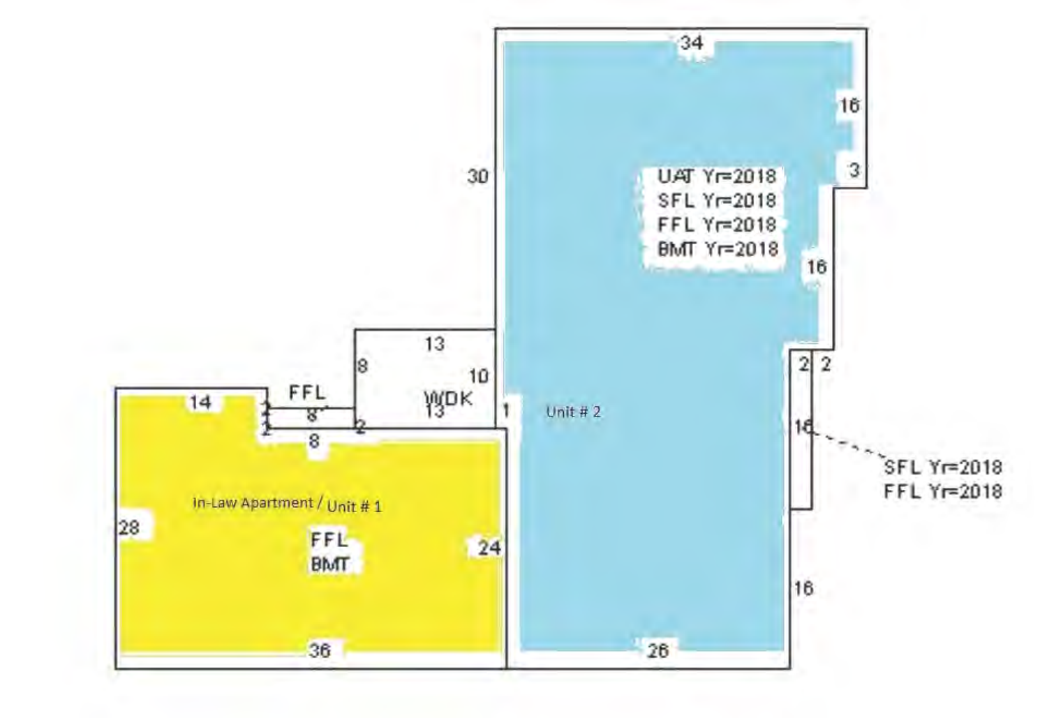